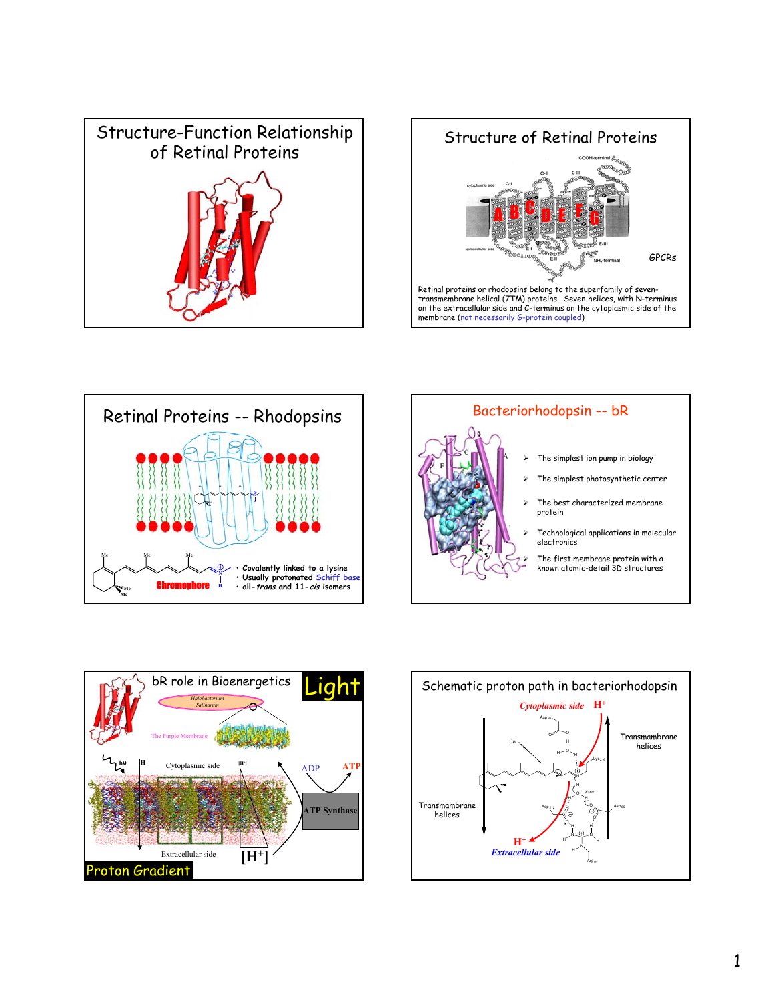



Retinal proteins or rhodopsins belong to the superfamily of seven-transmembrane helical (7TM) proteins. Seven helices, with N-terminus on the extracellular side and  $\vec{c}$ -terminus on the cytoplasmic side of the membrane (not necessarily G-protein coupled)







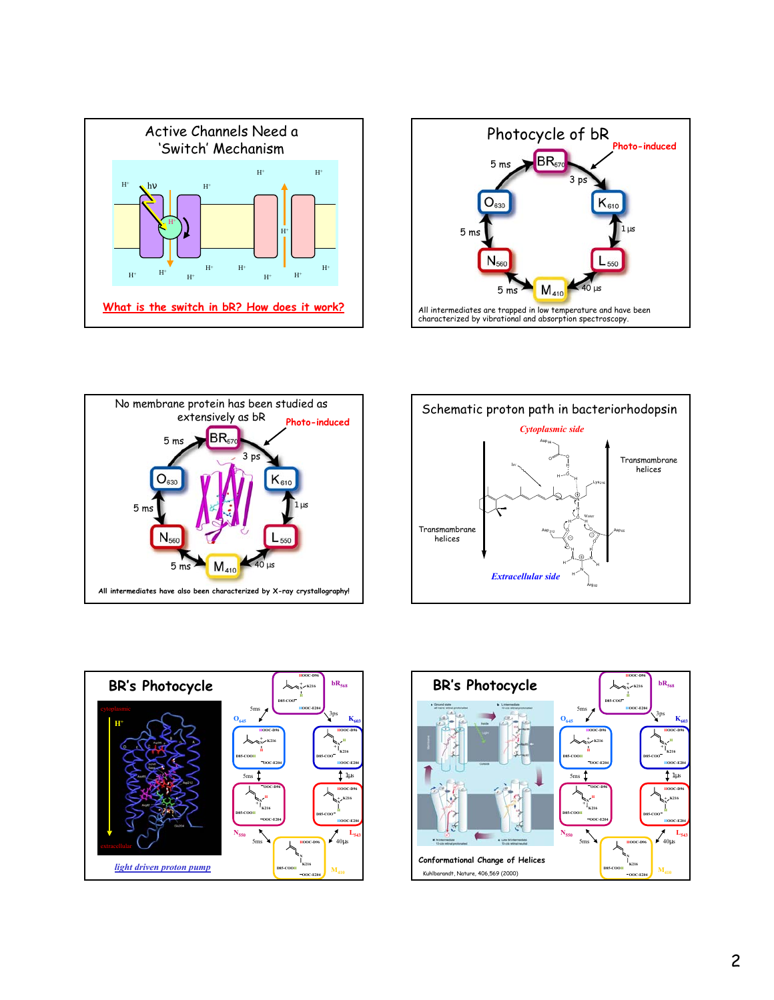









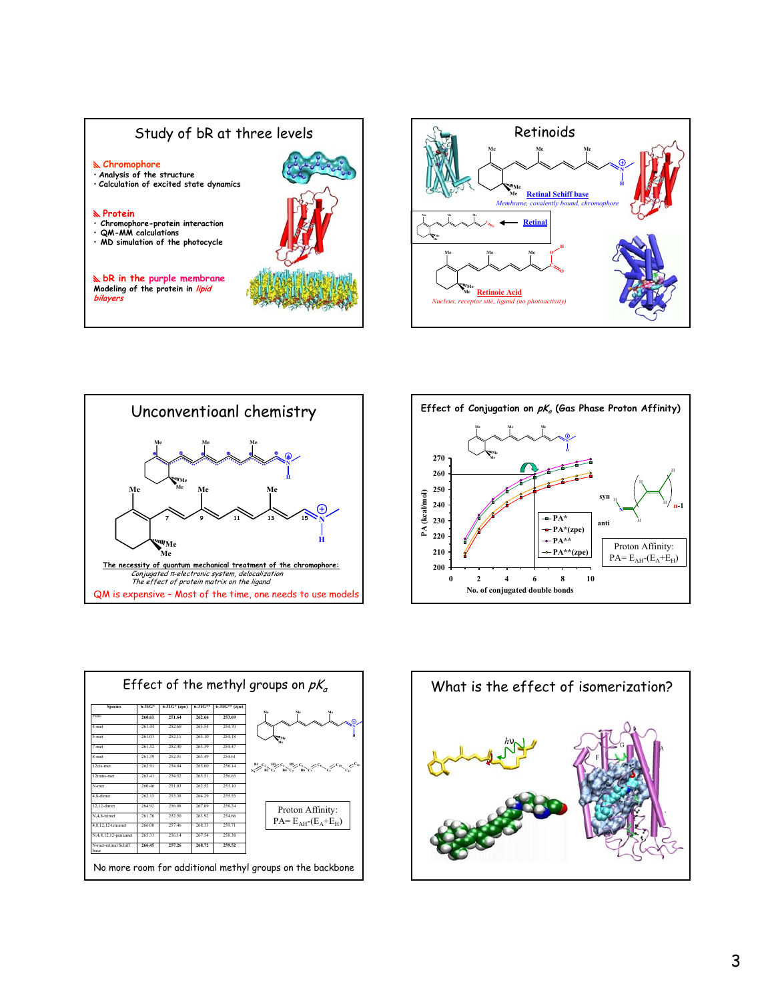









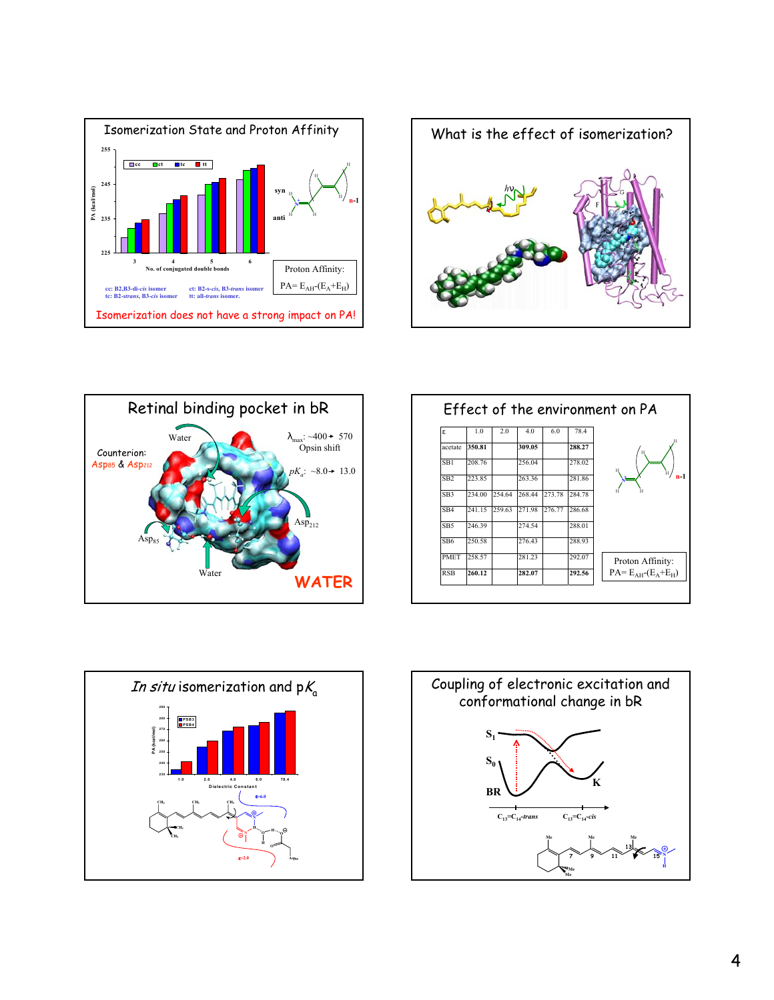





|                  | 78.4   | 6.0    | 4.0    | 2.0    | 1.0    | ε               |
|------------------|--------|--------|--------|--------|--------|-----------------|
|                  | 288.27 |        | 309.05 |        | 350.81 | acetate         |
|                  | 278.02 |        | 256.04 |        | 208.76 | SB1             |
| н                | 281.86 |        | 263.36 |        | 223.85 | SB <sub>2</sub> |
| н                | 284.78 | 273.78 | 268.44 | 254.64 | 234.00 | SB3             |
|                  | 286.68 | 276.77 | 27198  | 259.63 | 241 15 | SB <sub>4</sub> |
|                  | 288.01 |        | 274.54 |        | 246.39 | SB <sub>5</sub> |
|                  | 288.93 |        | 276.43 |        | 250.58 | SB <sub>6</sub> |
| Proton Affinity: | 292.07 |        | 281.23 |        | 258.57 | <b>PMET</b>     |
| $PA=EAH-(EA+EH)$ | 292.56 |        | 282.07 |        | 260.12 | <b>RSB</b>      |